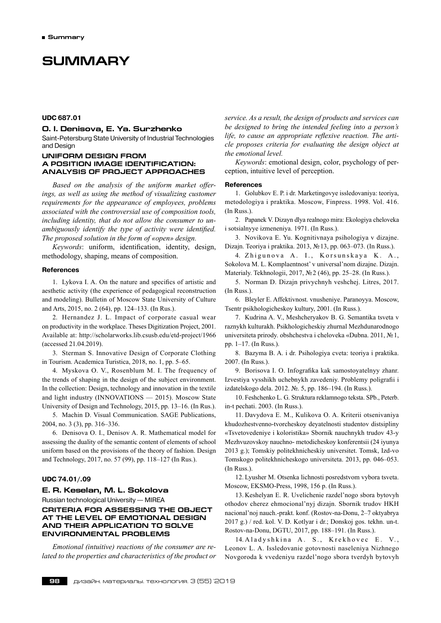# **SUMMARY**

# **UDC 687.01**

# **O. I. Denisova, E. Ya. Surzhenko**

Saint-Petersburg State University of Industrial Technologies and Design

# **UNIFORM DESIGN FROM A POSITION IMAGE IDENTIFICATION: ANALYSIS OF PROJECT APPROACHES**

*Based on the analysis of the uniform market offerings, as well as using the method of visualizing customer requirements for the appearance of employees, problems associated with the controversial use of composition tools, including identity, that do not allow the consumer to unambiguously identify the type of activity were identified. The proposed solution in the form of «open» design.*

*Keywords*: uniform, identification, identity, design, methodology, shaping, means of composition.

#### **References**

1. Lykova I. A. On the nature and specifics of artistic and aesthetic activity (the experience of pedagogical reconstruction and modeling). Bulletin of Moscow State University of Culture and Arts, 2015, no. 2 (64), pp. 124–133. (In Rus.).

2. Hernandez J. L. Impact of corporate casual wear on productivity in the workplace. Theses Digitization Project, 2001. Available at: http://scholarworks.lib.csusb.edu/etd-project/1966 (accessed 21.04.2019).

3. Sterman S. Innovative Design of Corporate Clothing in Tourism. Academica Turistica, 2018, no. 1, pp. 5–65.

4. Myskova O. V., Rosenblum M. I. The frequency of the trends of shaping in the design of the subject environment. In the collection: Design, technology and innovation in the textile and light industry (INNOVATIONS — 2015). Moscow State University of Design and Technology, 2015, pp. 13–16. (In Rus.).

5. Machin D. Visual Communication. SAGE Publications, 2004, no. 3 (3), pp. 316–336.

6. Denisova O. I., Denisov A. R. Mathematical model for assessing the duality of the semantic content of elements of school uniform based on the provisions of the theory of fashion. Design and Technology, 2017, no. 57 (99), pp. 118–127 (In Rus.).

#### **UDC 74.01/.09**

# **E. R. Keselan, M. L. Sokolova**

Russian technological University — MIREA

# **CRITERIA FOR ASSESSING THE OBJECT AT THE LEVEL OF EMOTIONAL DESIGN AND THEIR APPLICATION TO SOLVE ENVIRONMENTAL PROBLEMS**

*Emotional (intuitive) reactions of the consumer are related to the properties and characteristics of the product or* *service. As a result, the design of products and services can be designed to bring the intended feeling into a person's life, to cause an appropriate reflexive reaction. The article proposes criteria for evaluating the design object at the emotional level.*

*Keywords*: emotional design, color, psychology of perception, intuitive level of perception.

#### **References**

1. Golubkov E. P. i dr. Marketingovye issledovaniya: teoriya, metodologiya i praktika. Moscow, Finpress. 1998. Vol. 416. (In Russ.).

2. Papanek V. Dizayn dlya realnogo mira: Ekologiya cheloveka i sotsialnyye izmeneniya. 1971. (In Russ.).

3. Novikova E. Yu. Kognitivnaya psihologiya v dizajne. Dizajn. Teoriya i praktika. 2013, №13, pp. 063–073. (In Russ.).

4. Zhigunova A. I., Korsunskaya K. A., Sokolova M. L. Komplaentnost' v universal'nom dizajne. Dizajn. Materialy. Tekhnologii, 2017, №2 (46), pp. 25–28. (In Russ.).

5. Norman D. Dizajn privychnyh veshchej. Litres, 2017. (In Russ.).

6. Bleyler E. Affektivnost. vnusheniye. Paranoyya. Moscow, Tsentr psikhologicheskoy kultury, 2001. (In Russ.).

7. Kudrina A. V., Meshcheryakov B. G. Semantika tsveta v raznykh kulturakh. Psikhologicheskiy zhurnal Mezhdunarodnogo universiteta prirody. obshchestva i cheloveka «Dubna. 2011, №1, pp. 1–17. (In Russ.).

8. Bazyma B. A. i dr. Psihologiya cveta: teoriya i praktika. 2007. (In Russ.).

9. Borisova I. O. Infografika kak samostoyatelnyy zhanr. Izvestiya vysshikh uchebnykh zavedeniy. Problemy poligrafii i izdatelskogo dela. 2012. №. 5, pp. 186–194. (In Russ.).

10. Feshchenko L. G. Struktura reklamnogo teksta. SPb., Peterb. in-t pechati. 2003. (In Russ.).

11. Davydova E. M., Kulikova O. A. Kriterii otsenivaniya khudozhestvenno-tvorcheskoy deyatelnosti studentov distsipliny «Tsvetovedeniye i koloristika» Sbornik nauchnykh trudov 43-y Mezhvuzovskoy nauchno- metodicheskoy konferentsii (24 iyunya 2013 g.); Tomskiy politekhnicheskiy universitet. Tomsk, Izd-vo Tomskogo politekhnicheskogo universiteta. 2013, pp. 046–053. (In Russ.).

12. Lyusher M. Otsenka lichnosti posredstvom vybora tsveta. Moscow, EKSMO-Press, 1998, 156 p. (In Russ.).

13. Keshelyan E. R. Uvelichenie razdel'nogo sbora bytovyh othodov cherez ehmocional'nyj dizajn. Sbornik trudov HKH nacional'noj nauch.-prakt. konf. (Rostov-na-Donu, 2–7 oktyabrya 2017 g.) / red. kol. V. D. Kotlyar i dr.; Donskoj gos. tekhn. un-t. Rostov-na-Donu, DGTU, 2017, pp. 188–191. (In Russ.).

14. Aladyshkina A. S., Krekhovec E. Leonov L. A. Issledovanie gotovnosti naseleniya Nizhnego Novgoroda k vvedeniyu razdel'nogo sbora tverdyh bytovyh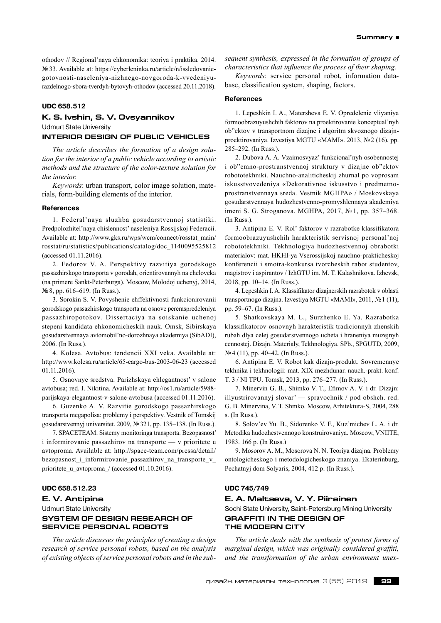othodov // Regional'naya ehkonomika: teoriya i praktika. 2014. №33. Available at: https://cyberleninka.ru/article/n/issledovaniegotovnosti-naseleniya-nizhnego-novgoroda-k-vvedeniyurazdelnogo-sbora-tverdyh-bytovyh-othodov (accessed 20.11.2018).

## **UDC 658.512**

# **K. S. Ivshin, S. V. Ovsyannikov** Udmurt State University **INTERIOR DESIGN OF PUBLIC VEHICLES**

*The article describes the formation of a design solution for the interior of a public vehicle according to artistic methods and the structure of the color-texture solution for*

*Keywords*: urban transport, color image solution, materials, form-building elements of the interior.

#### **References**

*the interior.*

1. Federal'naya sluzhba gosudarstvennoj statistiki. Predpolozhitel'naya chislennost' naseleniya Rossijskoj Federacii. Available at: http://www.gks.ru/wps/wcm/connect/rosstat\_main/ rosstat/ru/statistics/publications/catalog/doc\_1140095525812 (accessed 01.11.2016).

2. Fedorov V. A. Perspektivy razvitiya gorodskogo passazhirskogo transporta v gorodah, orientirovannyh na cheloveka (na primere Sankt-Peterburga). Moscow, Molodoj uchenyj, 2014, №8, pp. 616–619. (In Russ.).

3. Sorokin S. V. Povyshenie ehffektivnosti funkcionirovanii gorodskogo passazhirskogo transporta na osnove pereraspredeleniya passazhiropotokov. Dissertaciya na soiskanie uchenoj stepeni kandidata ehkonomicheskih nauk. Omsk, Sibirskaya gosudarstvennaya avtomobil'no-dorozhnaya akademiya (SibADI), 2006. (In Russ.).

4. Kolesa. Avtobus: tendencii XXI veka. Available at: http://www.kolesa.ru/article/65-cargo-bus-2003‑06‑23 (accessed 01.11.2016).

5. Osnovnye sredstva. Parizhskaya ehlegantnost' v salone avtobusa; red. I. Nikitina. Available at: http://os1.ru/article/5988 parijskaya-elegantnost-v-salone-avtobusa (accessed 01.11.2016).

6. Guzenko A. V. Razvitie gorodskogo passazhirskogo transporta megapolisa: problemy i perspektivy. Vestnik of Tomskij gosudarstvennyj universitet. 2009, №321, pp. 135–138. (In Russ.).

7. SPACETEAM. Sistemy monitoringa transporta. Bezopasnost' i informirovanie passazhirov na transporte — v prioritete u avtoproma. Available at: http://space-team.com/pressa/detail/ bezopasnost i informirovanie passazhirov na transporte v prioritete u avtoproma / (accessed 01.10.2016).

# **UDC 658.512.23**

# **E. V. Antipina**

Udmurt State University

# **SYSTEM OF DESIGN RESEARCH OF SERVICE PERSONAL ROBOTS**

*The article discusses the principles of creating a design research of service personal robots, based on the analysis of existing objects ofservice personalrobots and in the sub-* *sequent synthesis, expressed in the formation of groups of characteristics that influence the process of their shaping.*

*Keywords*: service personal robot, information database, classification system, shaping, factors.

#### **References**

1. Lepeshkin I. A., Matersheva Е. V. Opredelenie vliyaniya formoobrazuyushchih faktorov na proektirovanie konceptual'nyh ob"ektov v transportnom dizajne i algoritm skvoznogo dizajnproektirovaniya. Izvestiya MGTU «MAMI». 2013, №2 (16), pp. 285–292. (In Russ.).

2. Dubova A. A. Vzaimosvyaz' funkcional'nyh osobennostej i ob"emno-prostranstvennoj struktury v dizajne ob"ektov robototekhniki. Nauchno-analiticheskij zhurnal po voprosam iskusstvovedeniya «Dekorativnoe iskusstvo i predmetnoprostranstvennaya sreda. Vestnik MGHPA» / Moskovskaya gosudarstvennaya hudozhestvenno-promyshlennaya akademiya imeni S. G. Stroganova. MGHPA, 2017, № 1, pp. 357–368. (In Russ.).

3. Antipina Е. V. Rol' faktorov v razrabotke klassifikatora formoobrazuyushchih harakteristik servisnoj personal'noj robototekhniki. Tekhnologiya hudozhestvennoj obrabotki materialov: mat. HKHI-ya Vserossijskoj nauchno-prakticheskoj konferencii i smotra-konkursa tvorcheskih rabot studentov, magistrov i aspirantov / IzhGTU im. M. T. Kalashnikova. Izhevsk, 2018, pp. 10–14. (In Russ.).

4. Lepeshkin I. A. Klassifikator dizajnerskih razrabotok v oblasti transportnogo dizajna. Izvestiya MGTU «MAMI», 2011, №1 (11), pp. 59–67. (In Russ.).

5. Shatkovskaya M. L., Surzhenko Е. Ya. Razrabotka klassifikatorov osnovnyh harakteristik tradicionnyh zhenskih rubah dlya celej gosudarstvennogo ucheta i hraneniya muzejnyh cennostej. Dizajn. Materialy, Tekhnologiya. SPb., SPGUTD, 2009, №4 (11), pp. 40–42. (In Russ.).

6. Antipina Е. V. Robot kak dizajn-produkt. Sovremennye tekhnika i tekhnologii: mat. XIX mezhdunar. nauch.-prakt. konf. T. 3 / NI TPU. Tomsk, 2013, pp. 276–277. (In Russ.).

7. Minervin G. B., Shimko V. T., Еfimov A. V. i dr. Dizajn: illyustrirovannyj slovar' — spravochnik / pod obshch. red. G. B. Minervina, V. T. Shmko. Moscow, Arhitektura-S, 2004, 288 s. (In Russ.).

8. Solov'ev Yu. B., Sidorenko V. F., Kuz'michev L. A. i dr. Metodika hudozhestvennogo konstruirovaniya. Moscow, VNIITE, 1983. 166 p. (In Russ.)

9. Mosorov A. M., Mosorova N. N. Teoriya dizajna. Problemy ontologicheskogo i metodologicheskogo znaniya. Еkaterinburg, Pechatnyj dom Solyaris, 2004, 412 p. (In Russ.).

# **UDC 745/749**

# **E. A. Maltseva, V. Y. Piirainen**

Sochi State University, Saint-Petersburg Mining University **GRAFFITI IN THE DESIGN OF THE MODERN CITY**

*The article deals with the synthesis of protest forms of marginal design, which was originally considered graffiti, and the transformation of the urban environment unex-*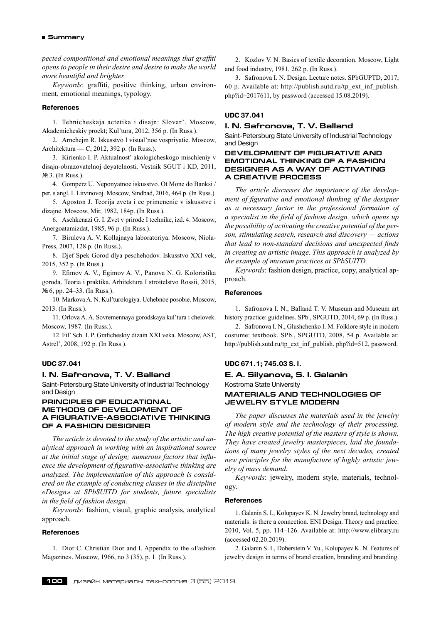*pected compositional and emotional meanings that graffiti opens to people in their desire and desire to make the world more beautiful and brighter.*

*Keywords*: graffiti, positive thinking, urban environment, emotional meanings, typology.

#### **References**

1. Tehnicheskaja actetika i disajn: Slovar'. Мoscow, Akademicheskiy proekt; Kul'tura, 2012, 356 p. (In Russ.).

2. Arnchejm R. Iskusstvo I visual'noe vospriyatie. Moscow, Architektura — C, 2012, 392 p. (In Russ.).

3. Kirienko I. P. Aktualnost' akologicheskogo mischleniy v disajn-obrazovatelnoj deyatelnosti. Vestnik SGUT i KD, 2011, №3. (In Russ.).

4. Gomperz U. Neponyatnoe iskusstvo. Ot Mone do Banksi / per. s angl. I. Litvinovoj. Moscow, Sindbad, 2016, 464 p. (In Russ.).

5. Agoston J. Teorija zveta i ee primenenie v iskusstve i dizajne. Moscow, Mir, 1982, 184p. (In Russ.).

6. Aschkenazi G. I. Zvet v prirode I technike, izd. 4. Moscow, Anergoatamizdat, 1985, 96 p. (In Russ.).

7. Biruleva A. V. Kollajnaya laboratoriya. Moscow, Niola-Press, 2007, 128 p. (In Russ.).

8. Djef Spek Gorod dlya peschehodov. Iskusstvo XXI vek, 2015, 352 p. (In Russ.).

9. Efimov A. V., Egimov A. V., Panova N. G. Koloristika goroda. Teoria i praktika. Arhitektura I stroitelstvo Rossii, 2015, №6, pp. 24–33. (In Russ.).

10. Markova A. N. Kul'turologiya. Uchebnoe posobie. Moscow, 2013. (In Russ.).

11. Orlova A. A. Sovremennaya gorodskaya kul'tura i chelovek. Moscow, 1987. (In Russ.).

12. Fil' Sch. I. P. Graficheskiy dizain XXI veka. Moscow, AST, Astrel', 2008, 192 p. (In Russ.).

# **UDC 37.041**

#### **I. N. Safronova, T. V. Balland**

Saint-Petersburg State University of Industrial Technology and Design

# **PRINCIPLES OF EDUCATIONAL METHODS OF DEVELOPMENT OF A FIGURATIVE-ASSOCIATIVE THINKING OF A FASHION DESIGNER**

*The article is devoted to the study of the artistic and analytical approach in working with an inspirational source at the initial stage of design; numerous factors that influence the development of figurative-associative thinking are analyzed. The implementation of this approach is considered on the example of conducting classes in the discipline «Design» at SPbSUITD for students, future specialists in the field of fashion design.*

*Keywords*: fashion, visual, graphic analysis, analytical approach.

## **References**

1. Dior C. Christian Dior and I. Appendix to the «Fashion Magazine». Moscow, 1966, no 3 (35), p. 1. (In Russ.).

2. Kozlov V. N. Basics of textile decoration. Moscow, Light and food industry, 1981, 262 p. (In Russ.).

3. Safronova I. N. Design. Lecture notes. SPbGUPTD, 2017, 60 p. Available at: http://publish.sutd.ru/tp\_ext\_inf\_publish. php?id=2017611, by password (accessed 15.08.2019).

#### **UDC 37.041**

# **I. N. Safronova, T. V. Balland**

Saint-Petersburg State University of Industrial Technology and Design

# **DEVELOPMENT OF FIGURATIVE AND EMOTIONAL THINKING OF A FASHION DESIGNER AS A WAY OF ACTIVATING A CREATIVE PROCESS**

*The article discusses the importance of the development of figurative and emotional thinking of the designer as a necessary factor in the professional formation of a specialist in the field of fashion design, which opens up the possibility of activating the creative potential of the person, stimulating search, research and discovery — actions that lead to non-standard decisions and unexpected finds in creating an artistic image. This approach is analyzed by the example of museum practices at SPbSUITD.*

*Keywords*: fashion design, practice, copy, analytical approach.

## **References**

1. Safronova I. N., Balland T. V. Museum and Museum art history practice: guidelines. SPb., SPGUTD, 2014, 69 p. (In Russ.).

2. Safronova I. N., Glushchenko I. M. Folklore style in modern costume: textbook. SPb., SPGUTD, 2008, 54 p. Available at: http://publish.sutd.ru/tp\_ext\_inf\_publish. php?id=512, password.

# **UDC 671.1; 745.03 S. I.**

# **E. A. Silyanova, S. I. Galanin** Kostroma State University **MATERIALS AND TECHNOLOGIES OF JEWELRY STYLE MODERN**

*The paper discusses the materials used in the jewelry of modern style and the technology of their processing. The high creative potential of the masters of style is shown. They have created jewelry masterpieces, laid the foundations of many jewelry styles of the next decades, created new principles for the manufacture of highly artistic jewelry of mass demand.*

*Keywords*: jewelry, modern style, materials, technology.

#### **References**

1. Galanin S. I., Kolupayev K. N. Jewelry brand, technology and materials: is there a connection. ENI Design. Theory and practice. 2010, Vol. 5, pp. 114–126. Available at: http://www.elibrary.ru (accessed 02.20.2019).

2. Galanin S. I., Doberstein V. Yu., Kolupayev K. N. Features of jewelry design in terms of brand creation, branding and branding.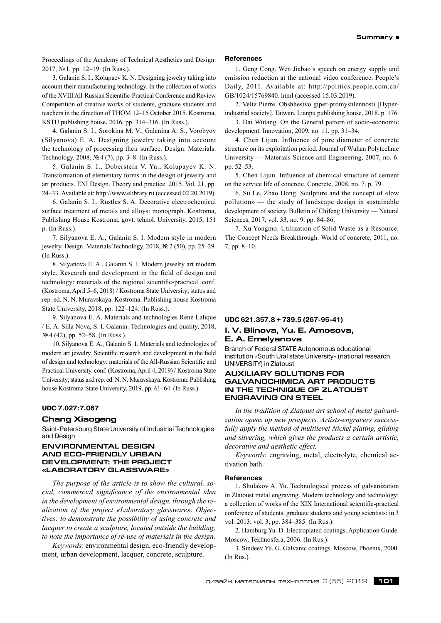Proceedings of the Academy of Technical Aesthetics and Design. 2017, №1, pp. 12–19. (In Russ.).

3. Galanin S. I., Kolupaev K. N. Designing jewelry taking into account their manufacturing technology. In the collection of works of the XVIII All-Russian Scientific-Practical Conference and Review Competition of creative works of students, graduate students and teachers in the direction of THOM 12–15 October 2015. Kostroma, KSTU publishing house, 2016, pp. 314–316. (In Russ.).

4. Galanin S. I., Sorokina M. V., Galanina A. S., Vorobyov (Silyanova) E. A. Designing jewelry taking into account the technology of processing their surface. Design. Materials. Technology. 2008, №4 (7), pp. 3–8. (In Russ.).

5. Galanin S. I., Doberstein V. Yu., Kolupayev K. N. Transformation of elementary forms in the design of jewelry and art products. ENI Design. Theory and practice. 2015. Vol. 21, pp. 24–33. Available at: http://www.elibrary.ru (accessed 02.20.2019).

6. Galanin S. I., Rustles S. A. Decorative electrochemical surface treatment of metals and alloys: monograph. Kostroma, Publishing House Kostroma. govt. tehnol. University, 2015, 151 p. (In Russ.).

7. Silyanova E. A., Galanin S. I. Modern style in modern jewelry. Design. Materials Technology. 2018, №2 (50), pp. 25–29. (In Russ.).

8. Silyanova E. A., Galanin S. I. Modern jewelry art modern style. Research and development in the field of design and technology: materials of the regional scientific-practical. conf. (Kostroma, April 5–6, 2018) / Kostroma State University; status and rep. ed. N. N. Muravskaya. Kostroma: Publishing house Kostroma State University, 2018, pp. 122–124. (In Russ.).

9. Silyanova E. A. Materials and technologies René Lalique / Е. А. Silla Nova, S. I. Galanin. Technologies and quality, 2018, №4 (42), pp. 52–58. (In Russ.).

10. Silyanova E. A., Galanin S. I. Materials and technologies of modern art jewelry. Scientific research and development in the field of design and technology: materials of theAll-Russian Scientific and Practical University. conf. (Kostroma, April 4, 2019) / Kostroma State University; status and rep. ed. N. N. Muravskaya. Kostroma: Publishing house Kostroma State University, 2019, pp. 61–64. (In Russ.).

# **UDC 7.027:7.067**

# **Chang Xiaogeng**

Saint-Petersburg State University of Industrial Technologies and Design

# **ENVIRONMENTAL DESIGN AND ECO-FRIENDLY URBAN DEVELOPMENT: THE PROJECT «LABORATORY GLASSWARE»**

*The purpose of the article is to show the cultural, social, commercial significance of the environmental idea in the development of environmental design, through the realization of the project «Laboratory glassware». Objectives: to demonstrate the possibility of using concrete and lacquer to create a sculpture, located outside the building; to note the importance of re-use of materials in the design.*

*Keywords*: environmental design, eco-friendly development, urban development, lacquer, concrete, sculpture.

#### **References**

1. Geng Cong. Wen Jiabao's speech on energy supply and emission reduction at the national video conference. People's Daily, 2011. Available at: http://politics.people.com.cn/ GB/1024/15769840. html (accessed 15.03.2019).

2. Veltz Pierre. Obshhestvo giper-promyshlennosti [Hyperindustrial society]. Taiwan, Lianpu publishing house, 2018. p. 176.

3. Dai Wutang. On the General pattern of socio-economic development. Innovation, 2009, no. 11, pp. 31–34.

4. Chen Lijun. Influence of pore diameter of concrete structure on its exploitation period. Journal of Wuhan Polytechnic University — Materials Science and Engineering, 2007, no. 6. pp. 52–53.

5. Chen Lijun. Influence of chemical structure of cement on the service life of concrete. Concrete, 2008, no. 7. p. 79.

6. Su Le, Zhao Hong. Sculpture and the concept of «low pollution» — the study of landscape design in sustainable development of society. Bulletin of Chifeng University — Natural Sciences, 2017, vol. 33, no. 9. pp. 84–86.

7. Xu Yongmo. Utilization of Solid Waste as a Resource: The Concept Needs Breakthrough. World of concrete, 2011, no. 7, pp. 8–10.

## **UDC 621.357.8 + 739.5 (267‑95‑41)**

# **I. V. Blinova, Yu. E. Amosova, E. A. Emelyanova**

Branch of Federal STATE Autonomous educational institution «South Ural state University» (national research UNIVERSITY) in Zlatoust

# **AUXILIARY SOLUTIONS FOR GALVANOCHIMICA ART PRODUCTS IN THE TECHNIQUE OF ZLATOUST ENGRAVING ON STEEL**

*In the tradition of Zlatoust art school of metal galvanization opens up new prospects. Artists-engravers successfully apply the method of multilevel Nickel plating, gilding and silvering, which gives the products a certain artistic, decorative and aesthetic effect.*

*Keywords*: engraving, metal, electrolyte, chemical activation bath.

#### **References**

1. Shulakov A. Yu. Technological process of galvanization in Zlatoust metal engraving. Modern technology and technology: a collection of works of the XIX International scientific-practical conference of students, graduate students and young scientists: in 3 vol. 2013, vol. 3, pp. 384–385. (In Rus.).

2. Hamburg Yu. D. Electroplated coatings. Application Guide. Moscow, Tekhnosfera, 2006. (In Rus.).

3. Sindeev Yu. G. Galvanic coatings. Moscow, Phoenix, 2000. (In Rus.).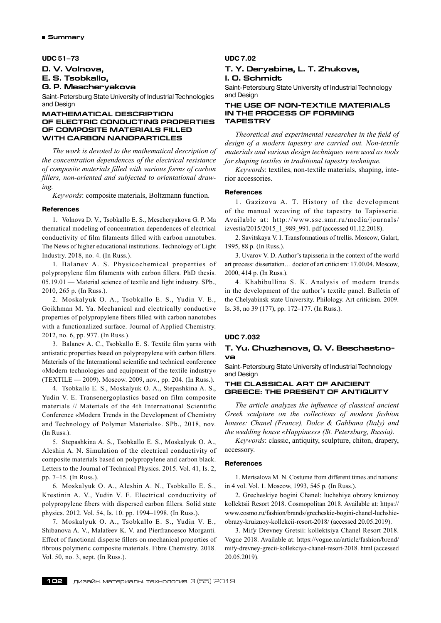## **UDC 51–73**

# **D. V. Volnova,**

**E. S. Tsobkallo,**

**G. P. Mescheryakova**

Saint-Petersburg State University of Industrial Technologies and Design

## **MATHEMATICAL DESCRIPTION OF ELECTRIC CONDUCTING PROPERTIES OF COMPOSITE MATERIALS FILLED WITH CARBON NANOPARTICLES**

*The work is devoted to the mathematical description of the concentration dependences of the electrical resistance of composite materials filled with various forms of carbon fillers, non-oriented and subjected to orientational drawing.*

*Keywords*: composite materials, Boltzmann function.

# **References**

1. Volnova D. V., Tsobkallo E. S., Mescheryakova G. P. Ma thematical modeling of concentration dependences of electrical conductivity of film filaments filled with carbon nanotubes. The News of higher educational institutions. Technology of Light Industry. 2018, no. 4. (In Russ.).

1. Balanev A. S. Physicochemical properties of polypropylene film filaments with carbon fillers. PhD thesis. 05.19.01 — Material science of textile and light industry. SPb., 2010, 265 p. (In Russ.).

2. Moskalyuk O. A., Tsobkallo E. S., Yudin V. E., Goikhman M. Ya. Mechanical and electrically conductive properties of polypropylene fibers filled with carbon nanotubes with a functionalized surface. Journal of Applied Chemistry. 2012, no. 6, pp. 977. (In Russ.).

3. Balanev A. C., Tsobkallo E. S. Textile film yarns with antistatic properties based on polypropylene with carbon fillers. Materials of the International scientific and technical conference «Modern technologies and equipment of the textile industry» (TEXTILE — 2009). Moscow. 2009, nov., pp. 204. (In Russ.).

4. Tsobkallo E. S., Moskalyuk O. A., Stepashkina A. S., Yudin V. E. Transenergoplastics based on film composite materials // Materials of the 4th International Scientific Conference «Modern Trends in the Development of Chemistry and Technology of Polymer Materials». SPb., 2018, nov. (In Russ.).

5. Stepashkina A. S., Tsobkallo E. S., Moskalyuk O. A., Aleshin A. N. Simulation of the electrical conductivity of composite materials based on polypropylene and carbon black. Letters to the Journal of Technical Physics. 2015. Vol. 41, Is. 2, pp. 7–15. (In Russ.).

6. Moskalyuk O. A., Aleshin A. N., Tsobkallo E. S., Krestinin A. V., Yudin V. E. Electrical conductivity of polypropylene fibers with dispersed carbon fillers. Solid state physics. 2012. Vol. 54, Is. 10. pp. 1994–1998. (In Russ.).

7. Moskalyuk O. A., Tsobkallo E. S., Yudin V. E., Shibanova A. V., Malafeev K. V. and Pierfrancesco Morganti. Effect of functional disperse fillers on mechanical properties of fibrous polymeric composite materials. Fibre Chemistry. 2018. Vol. 50, no. 3, sept. (In Russ.).

# **UDC 7.02**

# **T. Y. Deryabina, L. T. Zhukova, I. O. Schmidt**

Saint-Petersburg State University of Industrial Technology and Design

## **THE USE OF NON-TEXTILE MATERIALS IN THE PROCESS OF FORMING TAPESTRY**

*Theoretical and experimental researches in the field of design of a modern tapestry are carried out. Non-textile materials and various design techniques were used as tools for shaping textiles in traditional tapestry technique.*

*Keywords*: textiles, non-textile materials, shaping, interior accessories.

#### **References**

1. Gazizova A. T. History of the development of the manual weaving of the tapestry to Tapisserie. Available at: http://www.ssc.smr.ru/media/journals/ izvestia/2015/2015\_1\_989\_991. pdf (accessed 01.12.2018).

2. Savitskaya V. I. Transformations of trellis. Moscow, Galart, 1995, 88 p. (In Russ.).

3. Uvarov V. D. Author's tapisseria in the context of the world art process: dissertation… doctor of art criticism: 17.00.04. Moscow, 2000, 414 p. (In Russ.).

4. Khabibullina S. K. Analysis of modern trends in the development of the author's textile panel. Bulletin of the Chelyabinsk state University. Philology. Art criticism. 2009. Is. 38, no 39 (177), pp. 172–177. (In Russ.).

# **UDC 7.032**

# **T. Yu. Chuzhanova, O. V. Beschastnova**

Saint-Petersburg State University of Industrial Technology and Design

# **The classical art of ancient Greece: the present of antiquity**

*The article analyzes the influence of classical ancient Greek sculpture on the collections of modern fashion houses: Chanel (France), Dolce & Gabbana (Italy) and the wedding house «Happiness» (St. Petersburg, Russia).*

*Keywords*: classic, antiquity, sculpture, chiton, drapery, accessory.

#### **References**

1. Mertsalova M. N. Costume from different times and nations: in 4 vol. Vol. 1. Moscow, 1993, 545 p. (In Russ.).

2. Grecheskiye bogini Chanel: luchshiye obrazy kruiznoy kollektsii Resort 2018. Cosmopolitan 2018. Available at: https:// www.cosmo.ru/fashion/brands/grecheskie-bogini-chanel-luchshieobrazy-kruiznoy-kollekcii-resort-2018/ (accessed 20.05.2019).

3. Mify Drevney Gretsii: kollektsiya Chanel Resort 2018. Vogue 2018. Available at: https://vogue.ua/article/fashion/brend/ mify-drevney-grecii-kollekciya-chanel-resort-2018. html (accessed 20.05.2019).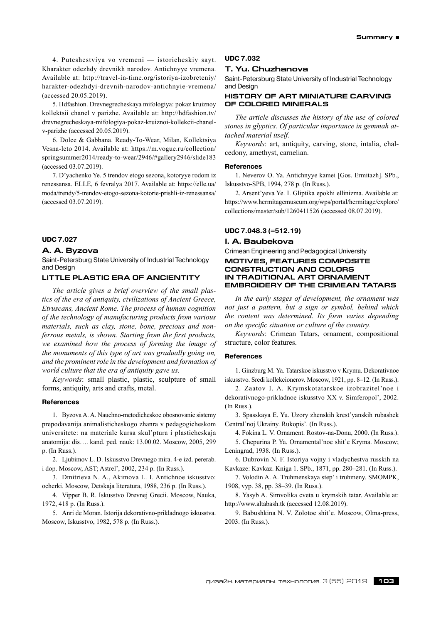4. Puteshestviya vo vremeni — istoricheskiy sayt. Kharakter odezhdy drevnikh narodov. Antichnyye vremena. Available at: http://travel-in-time.org/istoriya-izobreteniy/ harakter-odezhdyi-drevnih-narodov-antichnyie-vremena/ (accessed 20.05.2019).

5. Hdfashion. Drevnegrecheskaya mifologiya: pokaz kruiznoy kollektsii chanel v parizhe. Available at: http://hdfashion.tv/ drevnegrecheskaya-mifologiya-pokaz-kruiznoi-kollekcii-chanelv-parizhe (accessed 20.05.2019).

6. Dolce & Gabbana. Ready-To-Wear, Milan, Kollektsiya Vesna-leto 2014. Available at: https://m.vogue.ru/collection/ springsummer2014/ready-to-wear/2946/#gallery2946/slide183 (accessed 03.07.2019).

7. D'yachenko Ye. 5 trendov etogo sezona, kotoryye rodom iz renessansa. ELLE, 6 fevralya 2017. Available at: https://elle.ua/ moda/trendy/5-trendov-etogo-sezona-kotorie-prishli-iz-renessansa/ (accessed 03.07.2019).

#### **UDC 7.027**

#### **A. A. Byzova**

Saint-Petersburg State University of Industrial Technology and Design

# **LITTLE PLASTIC ERA OF ANCIENTITY**

*The article gives a brief overview of the small plastics of the era of antiquity, civilizations of Ancient Greece, Etruscans, Ancient Rome. The process of human cognition of the technology of manufacturing products from various materials, such as clay, stone, bone, precious and nonferrous metals, is shown. Starting from the first products, we examined how the process of forming the image of the monuments of this type of art was gradually going on, and the prominent role in the development and formation of world culture that the era of antiquity gave us.*

*Keywords*: small plastic, plastic, sculpture of small forms, antiquity, arts and crafts, metal.

#### **References**

1. Byzova A. A. Nauchno-metodicheskoe obosnovanie sistemy prepodavanija animalisticheskogo zhanra v pedagogicheskom universitete: na materiale kursa skul'ptura i plasticheskaja anatomija: dis…. kand. ped. nauk: 13.00.02. Moscow, 2005, 299 p. (In Russ.).

2. Ljubimov L. D. Iskusstvo Drevnego mira. 4-e izd. pererab. i dop. Moscow, AST; Astrel', 2002, 234 p. (In Russ.).

3. Dmitrieva N. A., Akimova L. I. Antichnoe iskusstvo: ocherki. Moscow, Detskaja literatura, 1988, 236 p. (In Russ.).

4. Vipper B. R. Iskusstvo Drevnej Grecii. Moscow, Nauka, 1972, 418 p. (In Russ.).

5. Anri de Moran. Istorija dekorativno-prikladnogo iskusstva. Moscow, Iskusstvo, 1982, 578 p. (In Russ.).

# **UDC 7.032**

# **T. Yu. Chuzhanova**

Saint-Petersburg State University of Industrial Technology and Design

# **History of art miniature carving of colored minerals**

*The article discusses the history of the use of colored stones in glyptics. Of particular importance in gemmah attached material itself.*

*Keywords*: art, antiquity, carving, stone, intalia, chalcedony, amethyst, carnelian.

## **References**

1. Neverov O. Ya. Antichnyye kamei [Gos. Ermitazh]. SPb., Iskusstvo-SPB, 1994, 278 p. (In Russ.).

2. Arsent'yeva Ye. I. Gliptika epokhi ellinizma. Available at: https://www.hermitagemuseum.org/wps/portal/hermitage/explore/ collections/master/sub/1260411526 (accessed 08.07.2019).

# **UDC 7.048.3 (=512.19)**

# **I. A. Baubekova**

Crimean Engineering and Pedagogical University

# **MOTIVES, FEATURES COMPOSITE CONSTRUCTION AND COLORS IN TRADITIONAL ART ORNAMENT EMBROIDERY OF THE CRIMEAN TATARS**

*In the early stages of development, the ornament was not just a pattern, but a sign or symbol, behind which the content was determined. Its form varies depending on the specific situation or culture of the country.*

*Keywords*: Crimean Tatars, ornament, compositional structure, color features.

#### **References**

1. Ginzburg M. Ya. Tatarskoe iskusstvo v Krymu. Dekorativnoe iskusstvo. Sredi kollekcionerov. Moscow, 1921, pp. 8–12. (In Russ.).

2. Zaatov I. A. Krymskotatarskoe izobrazitel'noe i dekorativnogo-prikladnoe iskusstvo XX v. Simferopol', 2002. (In Russ.).

3. Spasskaya E. Yu. Uzory zhenskih krest'yanskih rubashek Central'noj Ukrainy. Rukopis'. (In Russ.).

4. Fokina L. V. Ornament. Rostov-na-Donu, 2000. (In Russ.).

5. Chepurina P. Ya. Ornamental'noe shit'e Kryma. Moscow; Leningrad, 1938. (In Russ.).

6. Dubrovin N. F. Istoriya vojny i vladychestva russkih na Kavkaze: Kavkaz. Kniga 1. SPb., 1871, pp. 280–281. (In Russ.).

7. Volodin A. A. Truhmenskaya step' i truhmeny. SMOMPK, 1908, vyp. 38, pp. 38–39. (In Russ.).

8. Yasyb A. Simvolika cveta u krymskih tatar. Available at: http://www.altabash.tk (accessed 12.08.2019).

9. Babushkina N. V. Zolotoe shit'e. Moscow, Olma-press, 2003. (In Russ.).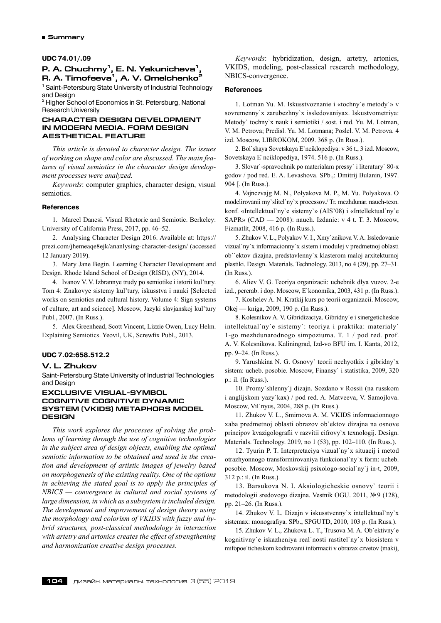#### **UDC 74.01/.09**

# **P. A. Chuchmy1, E. N. Yakunicheva1, R.** A. Timofeeva<sup>1</sup>, A. V. Omelchenko<sup>2</sup>

<sup>1</sup> Saint-Petersburg State University of Industrial Technology and Design

<sup>2</sup> Higher School of Economics in St. Petersburg, National Research University

## **CHARACTER DESIGN DEVELOPMENT IN MODERN MEDIA. FORM DESIGN AESTHETICAL FEATURE**

*This article is devoted to character design. The issues of working on shape and color are discussed. The main features of visual semiotics in the character design development processes were analyzed.*

*Keywords*: computer graphics, character design, visual semiotics.

## **References**

1. Marcel Danesi. Visual Rhetoric and Semiotic. Berkeley: University of California Press, 2017, pp. 46–52.

2. Analysing Character Design 2016. Available at: https:// prezi.com/jhemeaqe8ejk/ananlysing-character-design/ (accessed 12 January 2019).

3. Mary Jane Begin. Learning Character Development and Design. Rhode Island School of Design (RISD), (NY), 2014.

4. Ivanov V. V. Izbrannye trudy po semiotike i istorii kul'tury. Tom 4: Znakovye sistemy kul'tury, iskusstva i nauki [Selected works on semiotics and cultural history. Volume 4: Sign systems of culture, art and science]. Moscow, Jazyki slavjanskoj kul'tury Publ., 2007. (In Russ.).

5. Alex Greenhead, Scott Vincent, Lizzie Owen, Lucy Helm. Explaining Semiotics. Yeovil, UK, Screwfix Publ., 2013.

# **UDC 7.02:658.512.2**

#### **V. L. Zhukov**

Saint-Petersburg State University of Industrial Technologies and Design

# **EXCLUSIVE VISUAL-SYMBOL COGNITIVE COGNITIVE DYNAMIC SYSTEM (VKIDS) METAPHORS MODEL DESIGN**

*This work explores the processes of solving the problems of learning through the use of cognitive technologies in the subject area of design objects, enabling the optimal semiotic information to be obtained and used in the creation and development of artistic images of jewelry based on morphogenesis of the existing reality. One of the options in achieving the stated goal is to apply the principles of NBICS — convergence in cultural and social systems of large dimension, in which as a subsystem isincluded design. The development and improvement of design theory using the morphology and colorism of VKIDS with fuzzy and hybrid structures, post-classical methodology in interaction with artetry and artonics creates the effect of strengthening and harmonization creative design processes.*

*Keywords*: hybridization, design, artetry, artonics, VKIDS, modeling, post-classical research methodology, NBICS-convergence.

#### **References**

1. Lotman Yu. M. Iskusstvoznanie i «tochny`e metody`» v sovremenny`x zarubezhny`x issledovaniyax. Iskustvometriya: Metody` tochny`x nauk i semiotiki / sost. i red. Yu. M. Lotman, V. M. Petrova; Predisl. Yu. M. Lotmana; Poslel. V. M. Petrova. 4 izd. Moscow, LIBROKOM, 2009. 368 p. (In Russ.).

2. Bol`shaya Sovetskaya E`nciklopediya: v 36 t., 3 izd. Moscow, Sovetskaya E`nciklopediya, 1974. 516 p. (In Russ.).

3. Slovar`-spravochnik po materialam pressy` i literatury` 80-x godov / pod red. E. A. Levashova. SPb.,: Dmitrij Bulanin, 1997. 904 [. (In Russ.).

4. Vajnczvajg M. N., Polyakova M. P., M. Yu. Polyakova. O modelirovanii my`slitel`ny`x processov./ Tr. mezhdunar. nauch-texn. konf. «Intellektual`ny`e sistemy`» (AIS'08) i «Intellektual`ny`e SAPR» (CAD — 2008): nauch. Izdanie: v 4 t. T. 3. Moscow, Fizmatlit, 2008, 416 p. (In Russ.).

5. Zhukov V. L., Polyakov V. I., Xmy`znikova V. A. Issledovanie vizual`ny`x informacionny`x sistem i modulej v predmetnoj oblasti ob``ektov dizajna, predstavlenny`x klasterom maloj arxitekturnoj plastiki. Design. Materials. Technology. 2013, no 4 (29), pp. 27–31. (In Russ.).

6. Aliev V. G. Teoriya organizacii: uchebnik dlya vuzov. 2-e izd., pererab. i dop. Moscow, E`konomika, 2003, 431 p. (In Russ.).

7. Koshelev A. N. Kratkij kurs po teorii organizacii. Moscow, Okej — kniga, 2009, 190 p. (In Russ.).

8. Kolesnikov A. V. Gibridizaciya. Gibridny`e i sinergeticheskie intellektual`ny`e sistemy`: teoriya i praktika: materialy` 1-go mezhdunarodnogo simpoziuma. T. 1 / pod red. prof. A. V. Kolesnikova. Kaliningrad, Izd-vo BFU im. I. Kanta, 2012, pp. 9–24. (In Russ.).

9. Yarushkina N. G. Osnovy` teorii nechyotkix i gibridny`x sistem: ucheb. posobie. Moscow, Finansy` i statistika, 2009, 320 p.: il. (In Russ.).

10. Promy`shlenny`j dizajn. Sozdano v Rossii (na russkom i anglijskom yazy`kax) / pod red. A. Matveeva, V. Samojlova. Moscow, Vil`nyus, 2004, 288 p. (In Russ.).

11. Zhukov V. L., Smirnova A. M. VKIDS informacionnogo xaba predmetnoj oblasti obrazov ob`ektov dizajna na osnove principov kvazigolografii v razvitii cifrovy`x texnologij. Design. Materials. Technology. 2019, no 1 (53), pp. 102–110. (In Russ.).

12. Tyurin P. T. Interpretaciya vizual`ny`x situacij i metod otrazhyonnogo transformirovaniya funkcional`ny`x form: ucheb. posobie. Moscow, Moskovskij psixologo-social`ny`j in-t, 2009, 312 p.: il. (In Russ.).

13. Barsukova N. I. Aksiologicheskie osnovy` teorii i metodologii sredovogo dizajna. Vestnik OGU. 2011, №9 (128), pp. 21–26. (In Russ.).

14. Zhukov V. L. Dizajn v iskusstvenny`x intellektual`ny`x sistemax: monografiya. SPb., SPGUTD, 2010, 103 p. (In Russ.).

15. Zhukov V. L., Zhukova L. T., Trusova M. A. Ob`ektivny`e kognitivny`e iskazheniya real`nosti rastitel`ny`x biosistem v mifopoe`ticheskom kodirovanii informacii v obrazax czvetov (maki),